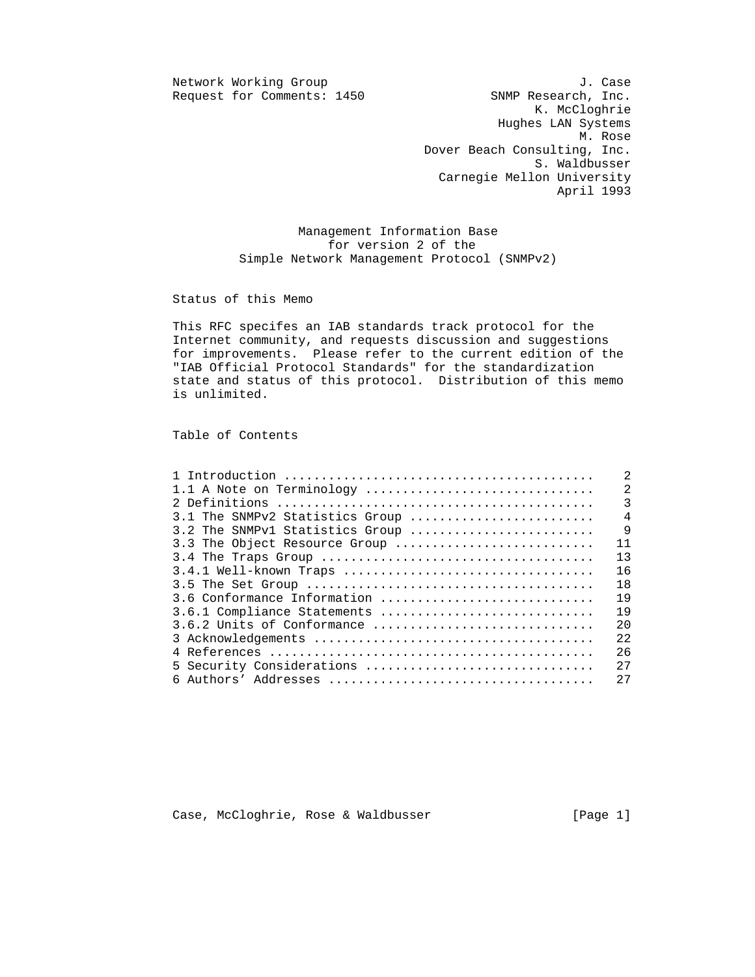$Request for Comments: 1450$ 

Network Working Group J. Case<br>Request for Comments: 1450 SNMP Research, Inc. K. McCloghrie Hughes LAN Systems M. Rose Dover Beach Consulting, Inc. S. Waldbusser Carnegie Mellon University April 1993

> Management Information Base for version 2 of the Simple Network Management Protocol (SNMPv2)

Status of this Memo

 This RFC specifes an IAB standards track protocol for the Internet community, and requests discussion and suggestions for improvements. Please refer to the current edition of the "IAB Official Protocol Standards" for the standardization state and status of this protocol. Distribution of this memo is unlimited.

Table of Contents

|                                 | 2                          |
|---------------------------------|----------------------------|
| 1.1 A Note on Terminology       | $\overline{\phantom{0}}^2$ |
|                                 | $\overline{3}$             |
| 3.1 The SNMPv2 Statistics Group | $\overline{4}$             |
| 3.2 The SNMPv1 Statistics Group | 9                          |
| 3.3 The Object Resource Group   | 11                         |
|                                 | 13                         |
| 3.4.1 Well-known Traps          | 16                         |
|                                 | 18                         |
| 3.6 Conformance Information     | 19                         |
| 3.6.1 Compliance Statements     | 19                         |
| 3.6.2 Units of Conformance      | 20                         |
|                                 | 2.2.                       |
|                                 | 26                         |
| 5 Security Considerations       | 27                         |
|                                 | 27                         |
|                                 |                            |

Case, McCloghrie, Rose & Waldbusser [Page 1]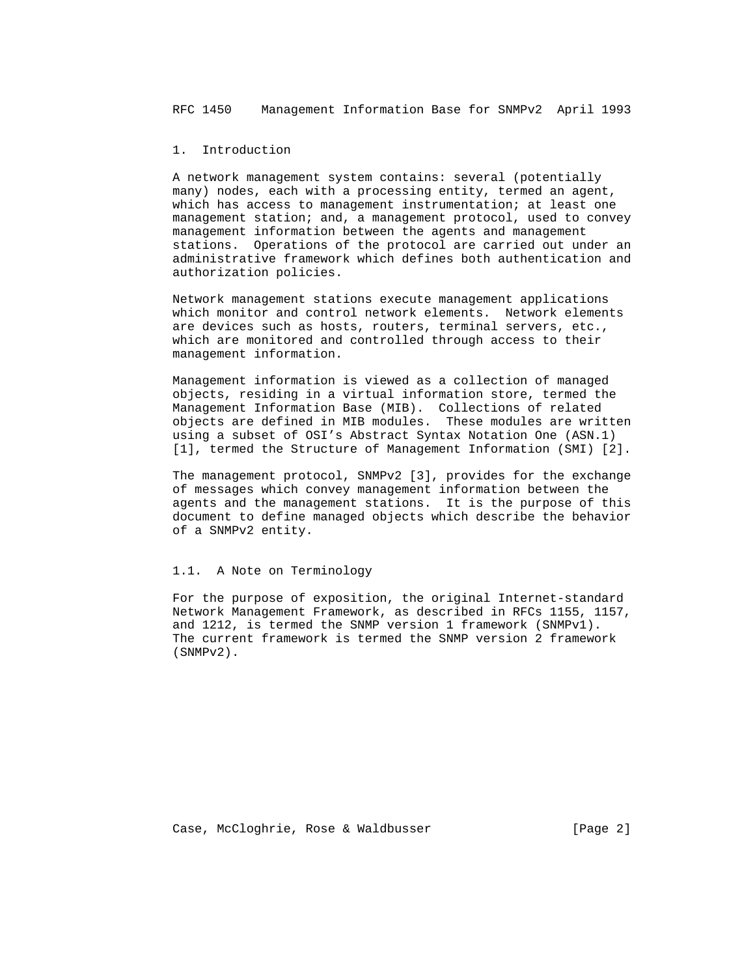## 1. Introduction

 A network management system contains: several (potentially many) nodes, each with a processing entity, termed an agent, which has access to management instrumentation; at least one management station; and, a management protocol, used to convey management information between the agents and management stations. Operations of the protocol are carried out under an administrative framework which defines both authentication and authorization policies.

 Network management stations execute management applications which monitor and control network elements. Network elements are devices such as hosts, routers, terminal servers, etc., which are monitored and controlled through access to their management information.

 Management information is viewed as a collection of managed objects, residing in a virtual information store, termed the Management Information Base (MIB). Collections of related objects are defined in MIB modules. These modules are written using a subset of OSI's Abstract Syntax Notation One (ASN.1) [1], termed the Structure of Management Information (SMI) [2].

 The management protocol, SNMPv2 [3], provides for the exchange of messages which convey management information between the agents and the management stations. It is the purpose of this document to define managed objects which describe the behavior of a SNMPv2 entity.

## 1.1. A Note on Terminology

 For the purpose of exposition, the original Internet-standard Network Management Framework, as described in RFCs 1155, 1157, and 1212, is termed the SNMP version 1 framework (SNMPv1). The current framework is termed the SNMP version 2 framework (SNMPv2).

Case, McCloghrie, Rose & Waldbusser (Page 2)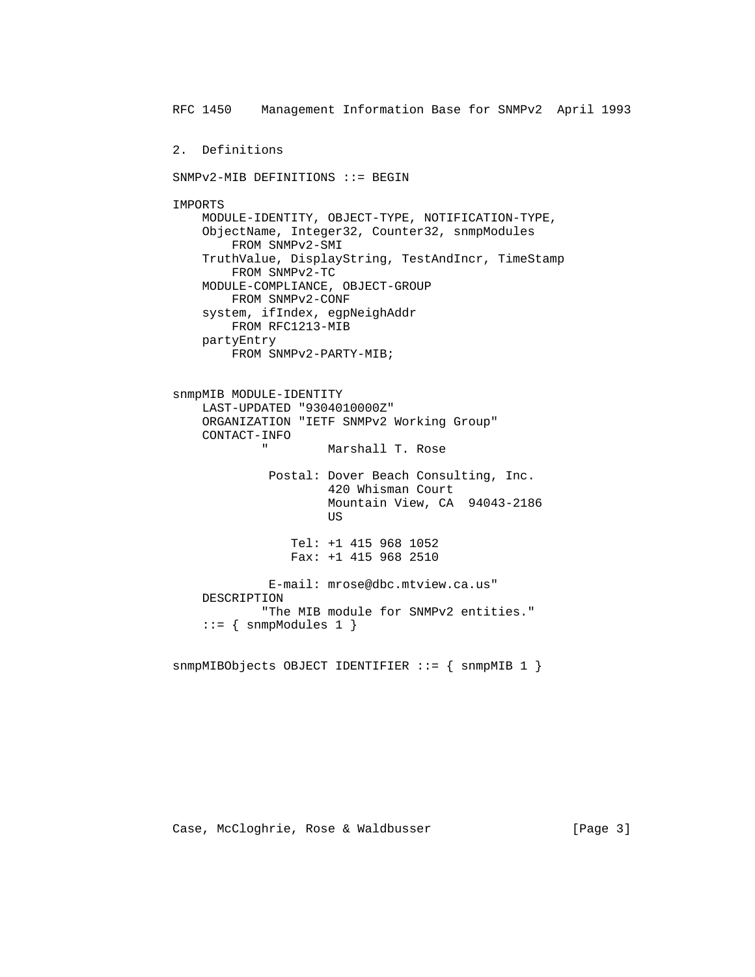RFC 1450 Management Information Base for SNMPv2 April 1993 2. Definitions SNMPv2-MIB DEFINITIONS ::= BEGIN IMPORTS MODULE-IDENTITY, OBJECT-TYPE, NOTIFICATION-TYPE, ObjectName, Integer32, Counter32, snmpModules FROM SNMPv2-SMI TruthValue, DisplayString, TestAndIncr, TimeStamp FROM SNMPv2-TC MODULE-COMPLIANCE, OBJECT-GROUP FROM SNMPv2-CONF system, ifIndex, egpNeighAddr FROM RFC1213-MIB partyEntry FROM SNMPv2-PARTY-MIB; snmpMIB MODULE-IDENTITY LAST-UPDATED "9304010000Z" ORGANIZATION "IETF SNMPv2 Working Group" CONTACT-INFO Marshall T. Rose Postal: Dover Beach Consulting, Inc. 420 Whisman Court Mountain View, CA 94043-2186 US And the state of the state of the state of the state of the state of the state of the state of the state of the state of the state of the state of the state of the state of the state of the state of the state of the sta Tel: +1 415 968 1052 Fax: +1 415 968 2510 E-mail: mrose@dbc.mtview.ca.us" DESCRIPTION "The MIB module for SNMPv2 entities."  $::=$  { snmpModules 1 }

snmpMIBObjects OBJECT IDENTIFIER ::= { snmpMIB 1 }

Case, McCloghrie, Rose & Waldbusser (Page 3)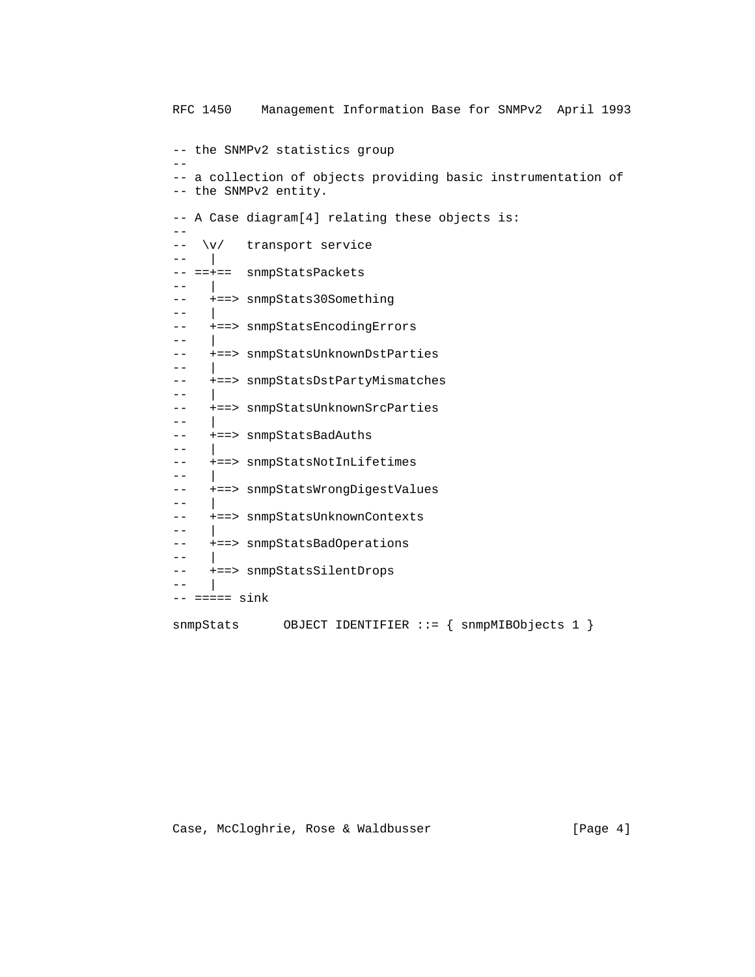RFC 1450 Management Information Base for SNMPv2 April 1993 -- the SNMPv2 statistics group -- -- a collection of objects providing basic instrumentation of -- the SNMPv2 entity. -- A Case diagram[4] relating these objects is:  $- -$  -- \v/ transport service  $--$  | -- ==+== snmpStatsPackets -- | -- +==> snmpStats30Something -- | -- +==> snmpStatsEncodingErrors -- | -- +==> snmpStatsUnknownDstParties  $- -$ -- +==> snmpStatsDstPartyMismatches  $- -$ -- +==> snmpStatsUnknownSrcParties -- | -- +==> snmpStatsBadAuths  $-$  -- +==> snmpStatsNotInLifetimes -- | -- +==> snmpStatsWrongDigestValues -- | -- +==> snmpStatsUnknownContexts  $--$  -- +==> snmpStatsBadOperations -- | -- +==> snmpStatsSilentDrops -- |  $--- == ==$   $sink$ snmpStats OBJECT IDENTIFIER ::= { snmpMIBObjects 1 }

Case, McCloghrie, Rose & Waldbusser [Page 4]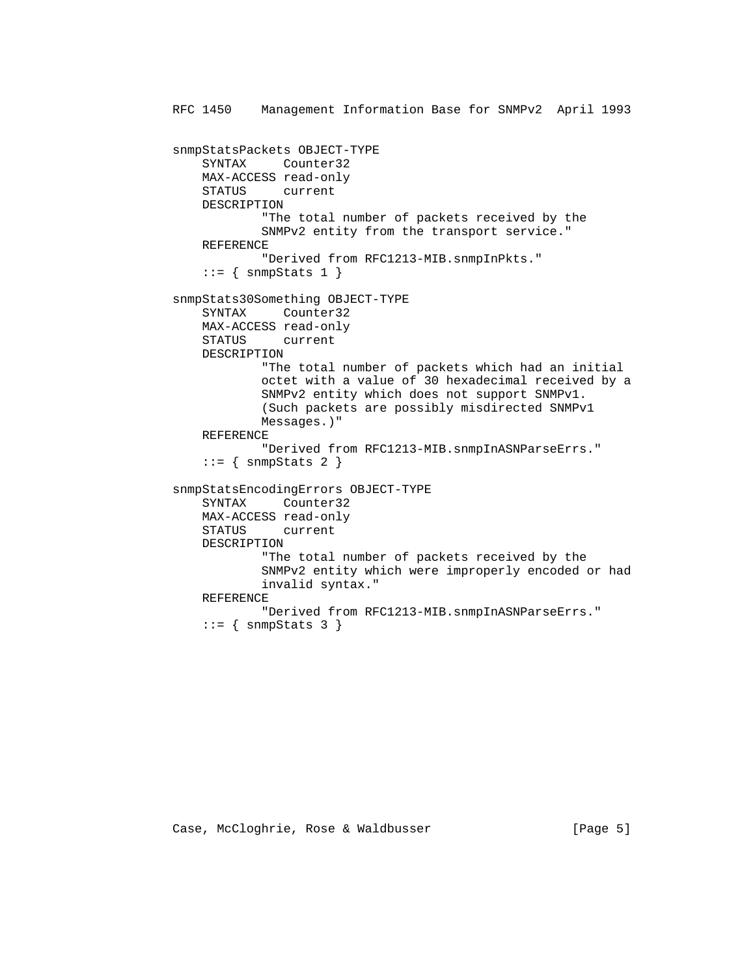```
 RFC 1450 Management Information Base for SNMPv2 April 1993
snmpStatsPackets OBJECT-TYPE
    SYNTAX Counter32
   MAX-ACCESS read-only
    STATUS current
    DESCRIPTION
            "The total number of packets received by the
            SNMPv2 entity from the transport service."
    REFERENCE
            "Derived from RFC1213-MIB.snmpInPkts."
   ::= { snmpStats 1 }
snmpStats30Something OBJECT-TYPE
    SYNTAX Counter32
    MAX-ACCESS read-only
    STATUS current
    DESCRIPTION
            "The total number of packets which had an initial
            octet with a value of 30 hexadecimal received by a
            SNMPv2 entity which does not support SNMPv1.
            (Such packets are possibly misdirected SNMPv1
            Messages.)"
    REFERENCE
            "Derived from RFC1213-MIB.snmpInASNParseErrs."
   ::= { snmpStats 2 }
snmpStatsEncodingErrors OBJECT-TYPE
    SYNTAX Counter32
    MAX-ACCESS read-only
    STATUS current
    DESCRIPTION
            "The total number of packets received by the
            SNMPv2 entity which were improperly encoded or had
            invalid syntax."
    REFERENCE
            "Derived from RFC1213-MIB.snmpInASNParseErrs."
   ::= { snmpStats 3 }
```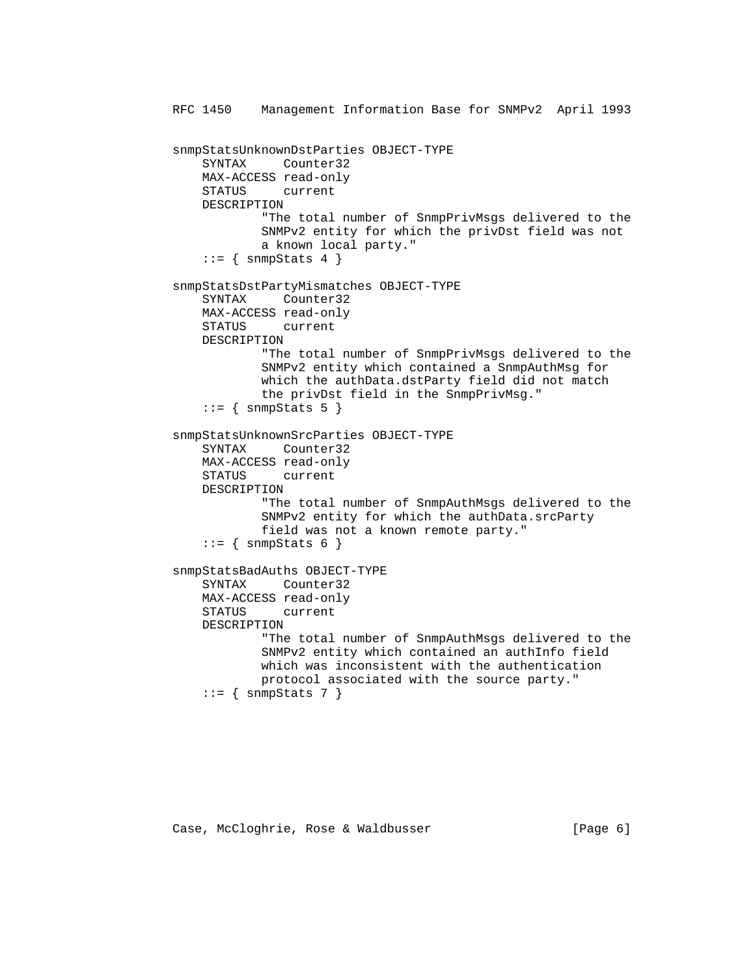```
 RFC 1450 Management Information Base for SNMPv2 April 1993
snmpStatsUnknownDstParties OBJECT-TYPE
    SYNTAX Counter32
    MAX-ACCESS read-only
    STATUS current
    DESCRIPTION
            "The total number of SnmpPrivMsgs delivered to the
            SNMPv2 entity for which the privDst field was not
            a known local party."
   ::= { snmpStats 4 }
snmpStatsDstPartyMismatches OBJECT-TYPE
    SYNTAX Counter32
    MAX-ACCESS read-only
    STATUS current
    DESCRIPTION
            "The total number of SnmpPrivMsgs delivered to the
            SNMPv2 entity which contained a SnmpAuthMsg for
            which the authData.dstParty field did not match
            the privDst field in the SnmpPrivMsg."
   ::= { snmpStats 5 }
snmpStatsUnknownSrcParties OBJECT-TYPE
    SYNTAX Counter32
    MAX-ACCESS read-only
    STATUS current
    DESCRIPTION
            "The total number of SnmpAuthMsgs delivered to the
            SNMPv2 entity for which the authData.srcParty
            field was not a known remote party."
   ::= { snmpStats 6 }
snmpStatsBadAuths OBJECT-TYPE
    SYNTAX Counter32
    MAX-ACCESS read-only
    STATUS current
    DESCRIPTION
            "The total number of SnmpAuthMsgs delivered to the
            SNMPv2 entity which contained an authInfo field
            which was inconsistent with the authentication
            protocol associated with the source party."
   ::= { snmpStats 7 }
```
Case, McCloghrie, Rose & Waldbusser (Page 6)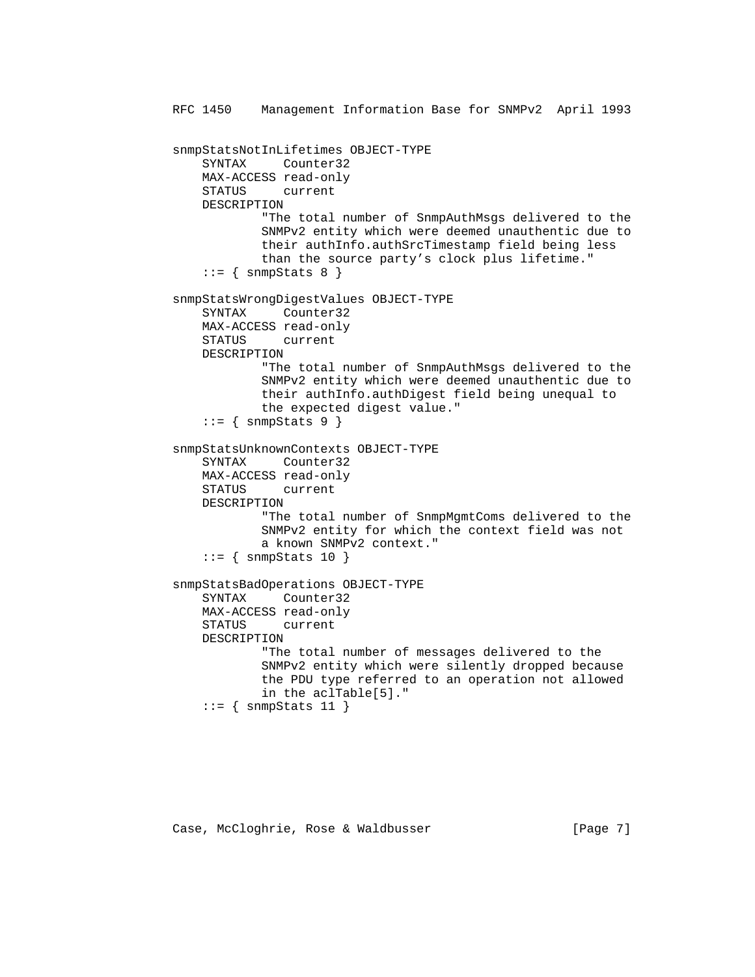```
 RFC 1450 Management Information Base for SNMPv2 April 1993
snmpStatsNotInLifetimes OBJECT-TYPE
    SYNTAX Counter32
    MAX-ACCESS read-only
    STATUS current
    DESCRIPTION
            "The total number of SnmpAuthMsgs delivered to the
            SNMPv2 entity which were deemed unauthentic due to
            their authInfo.authSrcTimestamp field being less
            than the source party's clock plus lifetime."
   ::= { snmpStats 8 }
snmpStatsWrongDigestValues OBJECT-TYPE
    SYNTAX Counter32
    MAX-ACCESS read-only
    STATUS current
    DESCRIPTION
            "The total number of SnmpAuthMsgs delivered to the
            SNMPv2 entity which were deemed unauthentic due to
            their authInfo.authDigest field being unequal to
            the expected digest value."
   ::= { snmpStats 9 }
snmpStatsUnknownContexts OBJECT-TYPE
    SYNTAX Counter32
    MAX-ACCESS read-only
    STATUS current
    DESCRIPTION
            "The total number of SnmpMgmtComs delivered to the
            SNMPv2 entity for which the context field was not
            a known SNMPv2 context."
   ::= { snmpStats 10 }
snmpStatsBadOperations OBJECT-TYPE
    SYNTAX Counter32
    MAX-ACCESS read-only
    STATUS current
    DESCRIPTION
            "The total number of messages delivered to the
            SNMPv2 entity which were silently dropped because
            the PDU type referred to an operation not allowed
            in the aclTable[5]."
   ::= { snmpStats 11 }
```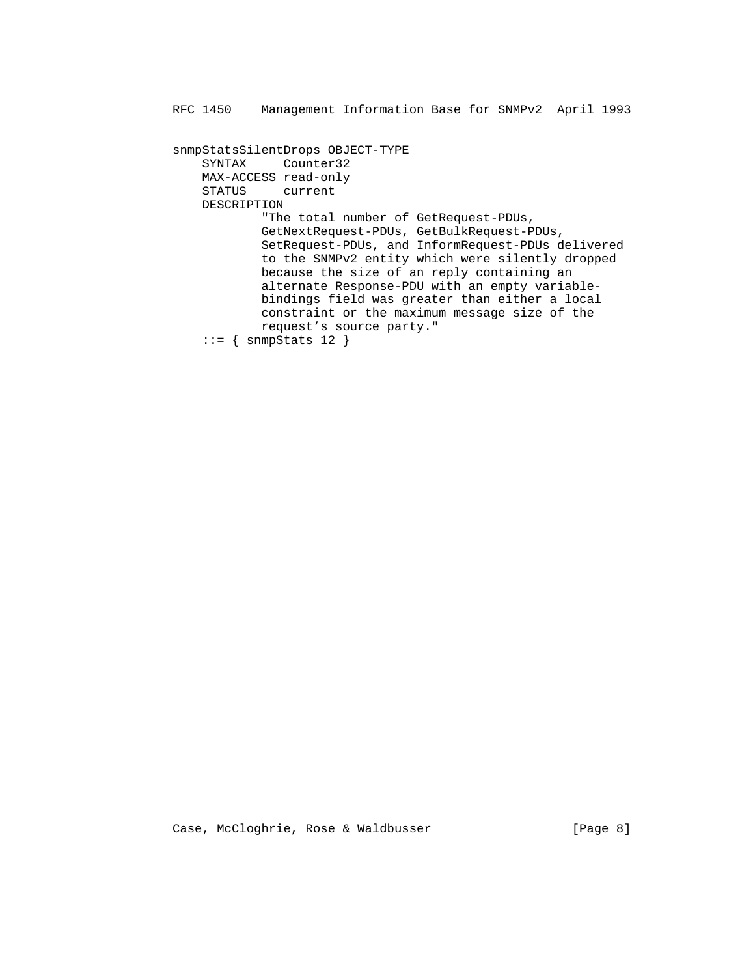snmpStatsSilentDrops OBJECT-TYPE SYNTAX Counter32 MAX-ACCESS read-only STATUS current DESCRIPTION "The total number of GetRequest-PDUs, GetNextRequest-PDUs, GetBulkRequest-PDUs, SetRequest-PDUs, and InformRequest-PDUs delivered to the SNMPv2 entity which were silently dropped because the size of an reply containing an alternate Response-PDU with an empty variable bindings field was greater than either a local constraint or the maximum message size of the request's source party."  $::=$  { snmpStats 12 }

Case, McCloghrie, Rose & Waldbusser [Page 8]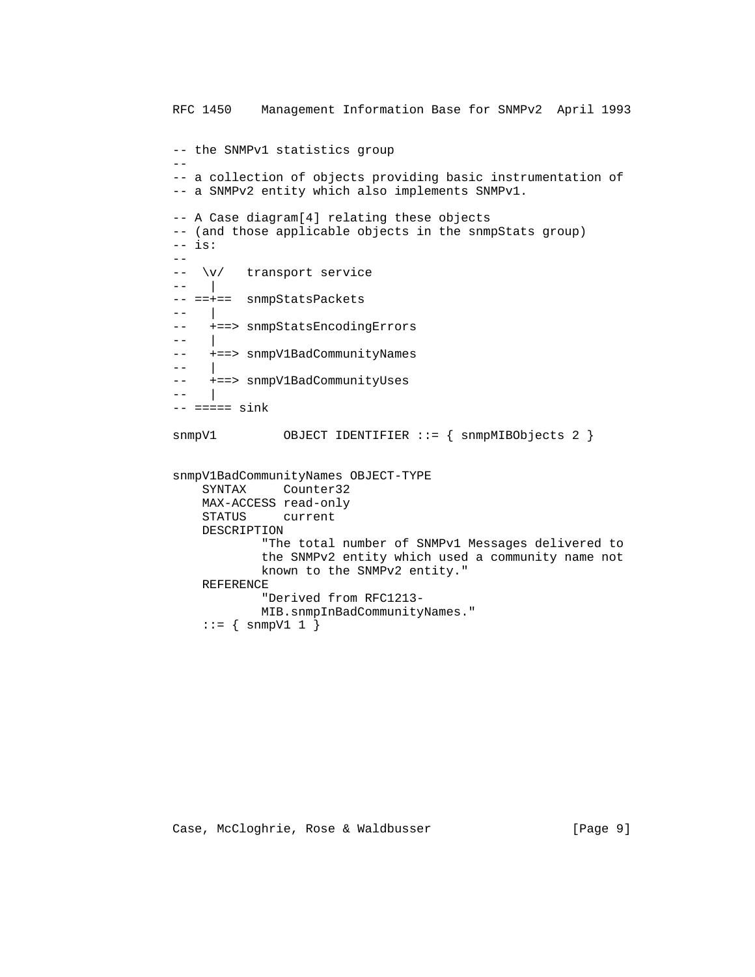```
 RFC 1450 Management Information Base for SNMPv2 April 1993
         -- the SNMPv1 statistics group
--
         -- a collection of objects providing basic instrumentation of
         -- a SNMPv2 entity which also implements SNMPv1.
         -- A Case diagram[4] relating these objects
         -- (and those applicable objects in the snmpStats group)
        -- is:
        -\frac{1}{2} -- \v/ transport service
         -- |
         -- ==+== snmpStatsPackets
        -- -- +==> snmpStatsEncodingErrors
         -- |
          -- +==> snmpV1BadCommunityNames
         - --- +==> snmpV1BadCommunityUses
         - ---- == == sink
        snmpV1 		 OBJECT IDENTIFIER ::= { snmpMIBObjects 2 }
         snmpV1BadCommunityNames OBJECT-TYPE
             SYNTAX Counter32
             MAX-ACCESS read-only
             STATUS current
             DESCRIPTION
                     "The total number of SNMPv1 Messages delivered to
                     the SNMPv2 entity which used a community name not
                     known to the SNMPv2 entity."
             REFERENCE
                     "Derived from RFC1213-
                     MIB.snmpInBadCommunityNames."
             ::= { snmpV1 1 }
```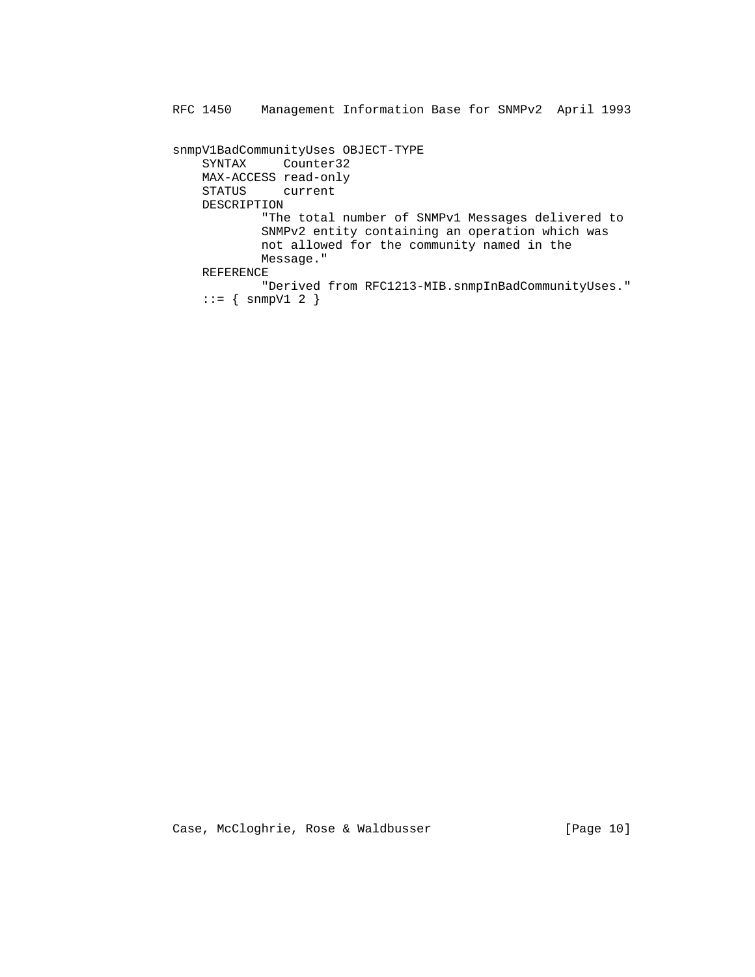```
 snmpV1BadCommunityUses OBJECT-TYPE
    SYNTAX Counter32
    MAX-ACCESS read-only
    STATUS current
    DESCRIPTION
            "The total number of SNMPv1 Messages delivered to
            SNMPv2 entity containing an operation which was
            not allowed for the community named in the
            Message."
    REFERENCE
            "Derived from RFC1213-MIB.snmpInBadCommunityUses."
   \cdot := \{ \text{snmpV1 2 } \}
```
Case, McCloghrie, Rose & Waldbusser [Page 10]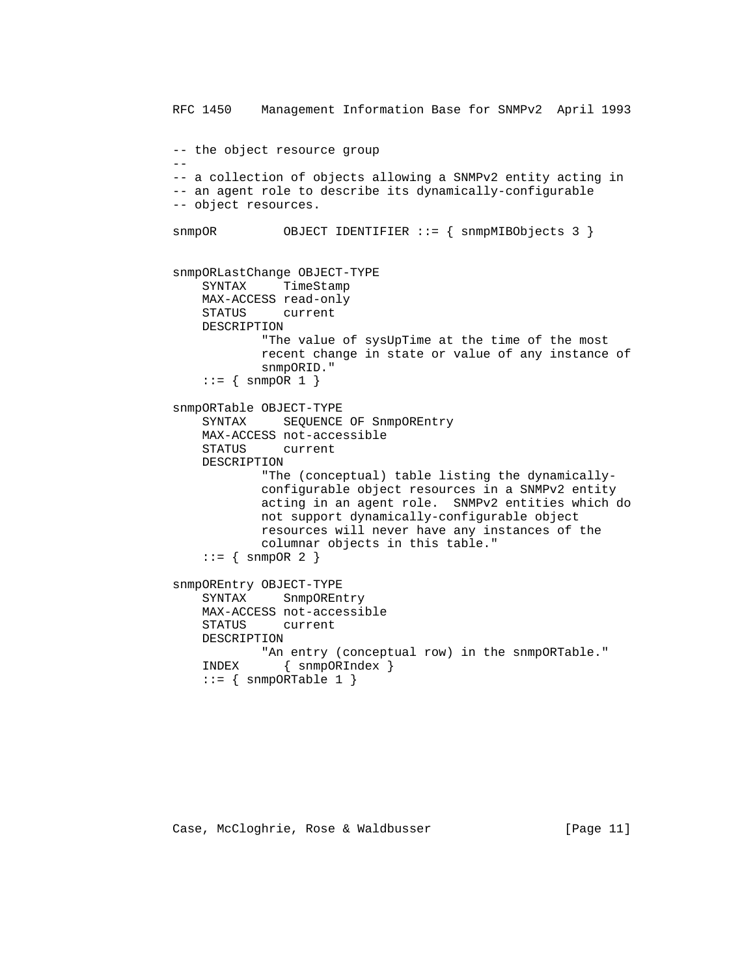```
 RFC 1450 Management Information Base for SNMPv2 April 1993
         -- the object resource group
--
         -- a collection of objects allowing a SNMPv2 entity acting in
         -- an agent role to describe its dynamically-configurable
         -- object resources.
         snmpOR OBJECT IDENTIFIER ::= { snmpMIBObjects 3 }
         snmpORLastChange OBJECT-TYPE
             SYNTAX TimeStamp
             MAX-ACCESS read-only
             STATUS current
             DESCRIPTION
                     "The value of sysUpTime at the time of the most
                     recent change in state or value of any instance of
                     snmpORID."
            ::= { snmpOR 1 }
         snmpORTable OBJECT-TYPE
            SYNTAX SEQUENCE OF SnmpOREntry
             MAX-ACCESS not-accessible
             STATUS current
             DESCRIPTION
                     "The (conceptual) table listing the dynamically-
                     configurable object resources in a SNMPv2 entity
                     acting in an agent role. SNMPv2 entities which do
                     not support dynamically-configurable object
                     resources will never have any instances of the
                     columnar objects in this table."
            ::= { snmpOR 2 }
         snmpOREntry OBJECT-TYPE
             SYNTAX SnmpOREntry
             MAX-ACCESS not-accessible
             STATUS current
             DESCRIPTION
                    "An entry (conceptual row) in the snmpORTable."
             INDEX { snmpORIndex }
            ::= { snmpORTable 1 }
```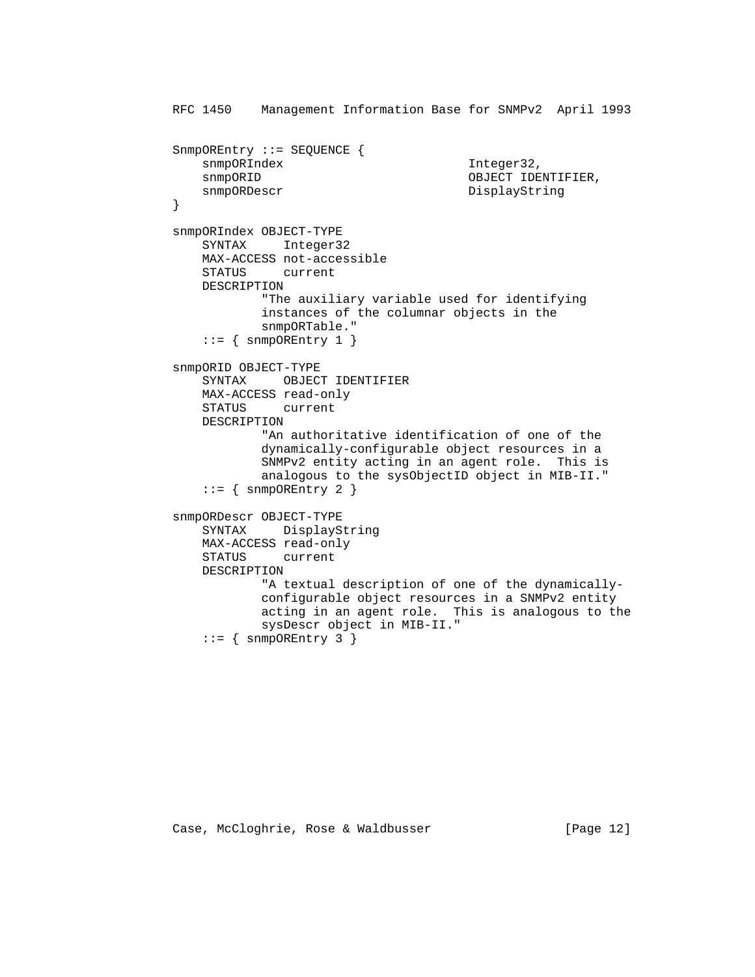```
 RFC 1450 Management Information Base for SNMPv2 April 1993
         SnmpOREntry ::= SEQUENCE {
           snmpORIndex Integer32,
           snmpORID OBJECT IDENTIFIER,
           snmpORDescr DisplayString
}
         snmpORIndex OBJECT-TYPE
            SYNTAX Integer32
            MAX-ACCESS not-accessible
            STATUS current
            DESCRIPTION
                    "The auxiliary variable used for identifying
                    instances of the columnar objects in the
                    snmpORTable."
            ::= { snmpOREntry 1 }
         snmpORID OBJECT-TYPE
            SYNTAX OBJECT IDENTIFIER
            MAX-ACCESS read-only
            STATUS current
            DESCRIPTION
                    "An authoritative identification of one of the
                    dynamically-configurable object resources in a
                    SNMPv2 entity acting in an agent role. This is
                    analogous to the sysObjectID object in MIB-II."
            ::= { snmpOREntry 2 }
         snmpORDescr OBJECT-TYPE
            SYNTAX DisplayString
            MAX-ACCESS read-only
            STATUS current
            DESCRIPTION
                    "A textual description of one of the dynamically-
                    configurable object resources in a SNMPv2 entity
                    acting in an agent role. This is analogous to the
                    sysDescr object in MIB-II."
            ::= { snmpOREntry 3 }
```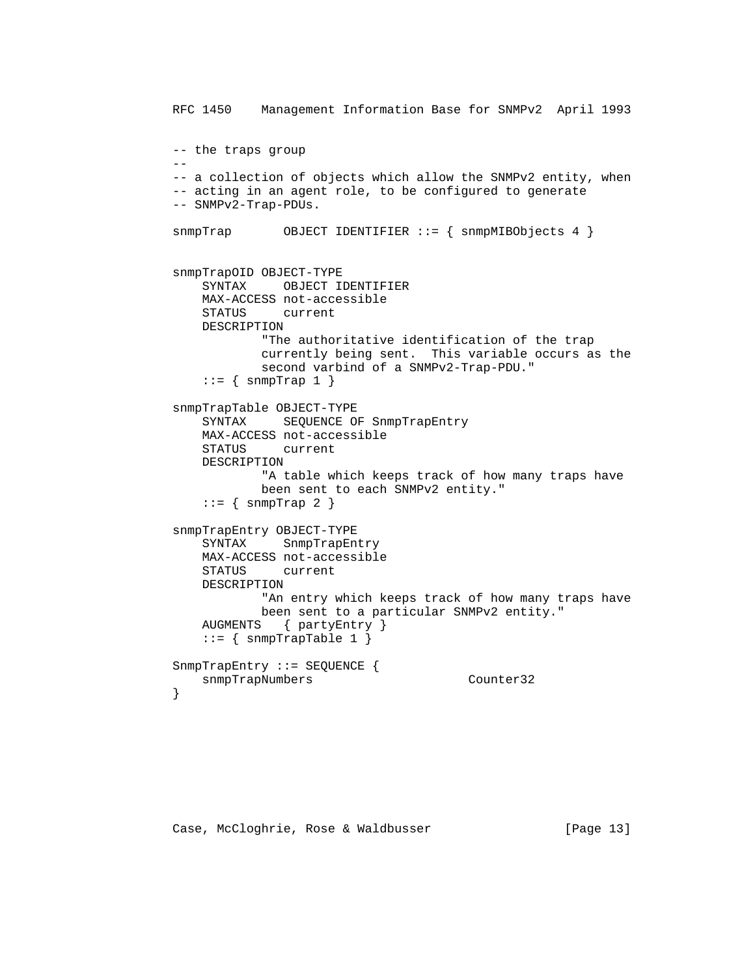```
 RFC 1450 Management Information Base for SNMPv2 April 1993
         -- the traps group
--
         -- a collection of objects which allow the SNMPv2 entity, when
         -- acting in an agent role, to be configured to generate
         -- SNMPv2-Trap-PDUs.
         snmpTrap OBJECT IDENTIFIER ::= { snmpMIBObjects 4 }
         snmpTrapOID OBJECT-TYPE
             SYNTAX OBJECT IDENTIFIER
             MAX-ACCESS not-accessible
             STATUS current
             DESCRIPTION
                     "The authoritative identification of the trap
                     currently being sent. This variable occurs as the
                     second varbind of a SNMPv2-Trap-PDU."
            ::= { snmpTrap 1 }
         snmpTrapTable OBJECT-TYPE
             SYNTAX SEQUENCE OF SnmpTrapEntry
             MAX-ACCESS not-accessible
             STATUS current
             DESCRIPTION
                     "A table which keeps track of how many traps have
                     been sent to each SNMPv2 entity."
            ::= { snmpTrap 2 }
         snmpTrapEntry OBJECT-TYPE
             SYNTAX SnmpTrapEntry
             MAX-ACCESS not-accessible
             STATUS current
             DESCRIPTION
                     "An entry which keeps track of how many traps have
                     been sent to a particular SNMPv2 entity."
             AUGMENTS { partyEntry }
            ::= { snmpTrapTable 1 }
         SnmpTrapEntry ::= SEQUENCE {
            snmpTrapNumbers Counter32
}
```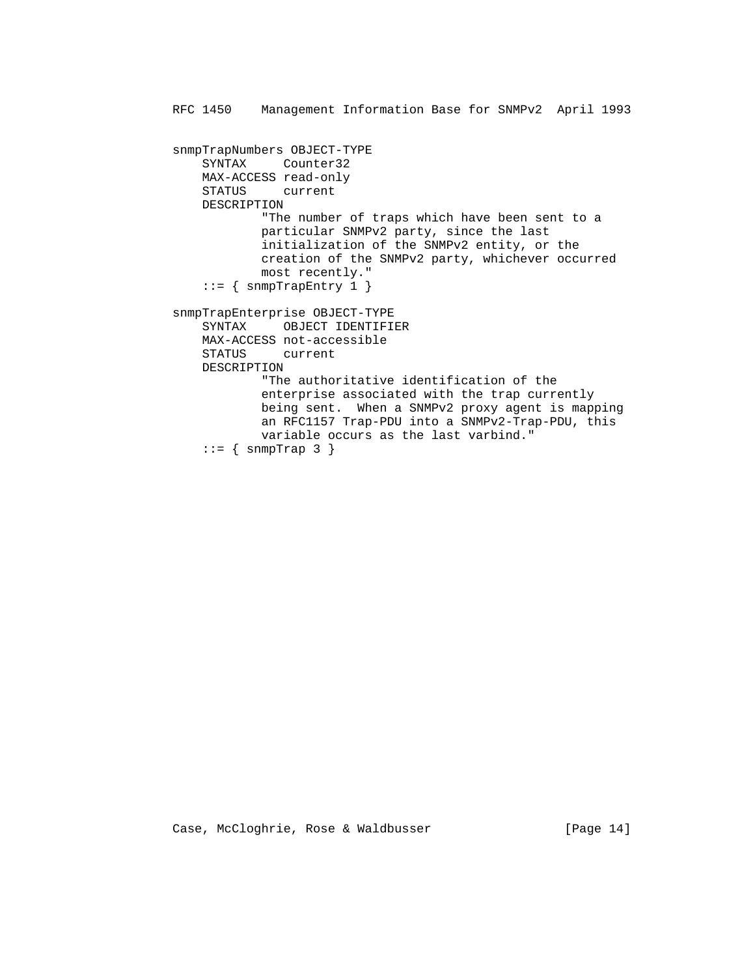```
 RFC 1450 Management Information Base for SNMPv2 April 1993
snmpTrapNumbers OBJECT-TYPE
    SYNTAX Counter32
    MAX-ACCESS read-only
    STATUS current
    DESCRIPTION
            "The number of traps which have been sent to a
            particular SNMPv2 party, since the last
            initialization of the SNMPv2 entity, or the
            creation of the SNMPv2 party, whichever occurred
            most recently."
   ::= { snmpTrapEntry 1 }
snmpTrapEnterprise OBJECT-TYPE
    SYNTAX OBJECT IDENTIFIER
    MAX-ACCESS not-accessible
    STATUS current
    DESCRIPTION
            "The authoritative identification of the
            enterprise associated with the trap currently
            being sent. When a SNMPv2 proxy agent is mapping
            an RFC1157 Trap-PDU into a SNMPv2-Trap-PDU, this
            variable occurs as the last varbind."
   ::= { snmpTrap 3 }
```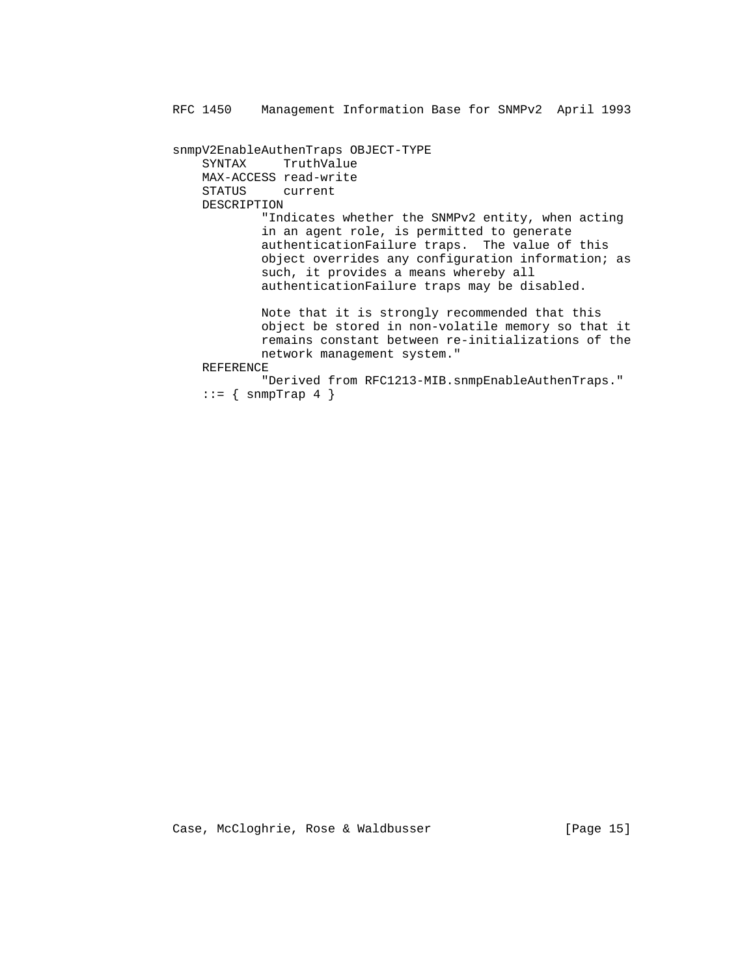snmpV2EnableAuthenTraps OBJECT-TYPE SYNTAX TruthValue MAX-ACCESS read-write STATUS current DESCRIPTION "Indicates whether the SNMPv2 entity, when acting in an agent role, is permitted to generate authenticationFailure traps. The value of this object overrides any configuration information; as such, it provides a means whereby all authenticationFailure traps may be disabled. Note that it is strongly recommended that this object be stored in non-volatile memory so that it remains constant between re-initializations of the network management system." REFERENCE "Derived from RFC1213-MIB.snmpEnableAuthenTraps."  $::=$  { snmpTrap 4 }

Case, McCloghrie, Rose & Waldbusser [Page 15]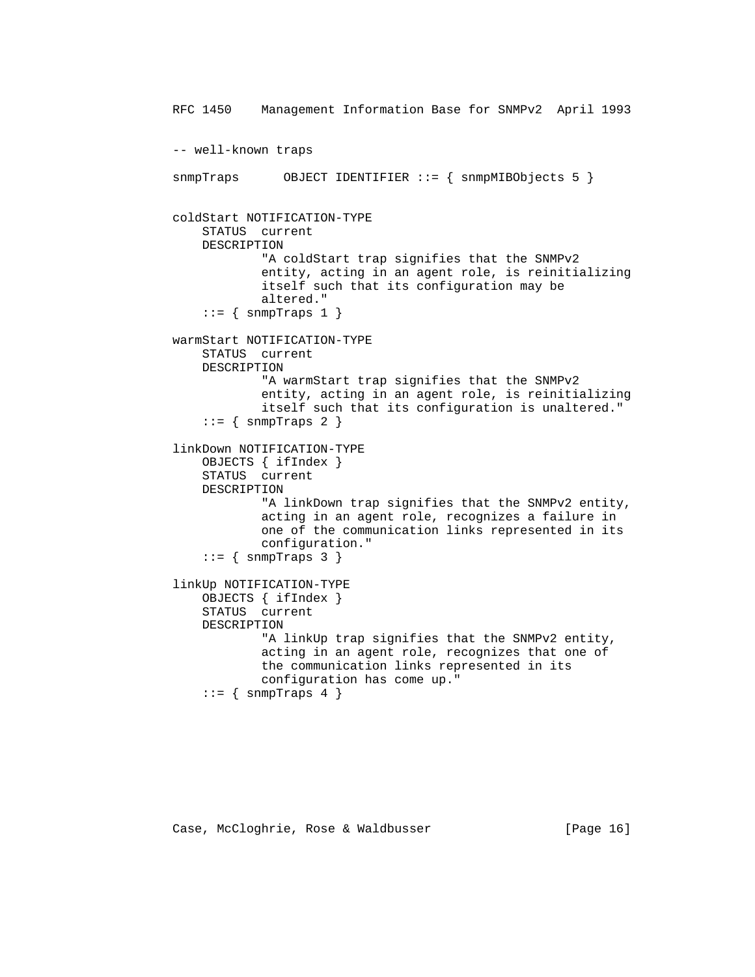```
 RFC 1450 Management Information Base for SNMPv2 April 1993
-- well-known traps
snmpTraps OBJECT IDENTIFIER ::= { snmpMIBObjects 5 }
coldStart NOTIFICATION-TYPE
    STATUS current
    DESCRIPTION
            "A coldStart trap signifies that the SNMPv2
            entity, acting in an agent role, is reinitializing
            itself such that its configuration may be
            altered."
   ::= { snmpTraps 1 }
warmStart NOTIFICATION-TYPE
    STATUS current
    DESCRIPTION
            "A warmStart trap signifies that the SNMPv2
            entity, acting in an agent role, is reinitializing
            itself such that its configuration is unaltered."
   ::= { snmpTraps 2 }
linkDown NOTIFICATION-TYPE
    OBJECTS { ifIndex }
    STATUS current
    DESCRIPTION
            "A linkDown trap signifies that the SNMPv2 entity,
            acting in an agent role, recognizes a failure in
            one of the communication links represented in its
            configuration."
   ::= { snmpTraps 3 }
linkUp NOTIFICATION-TYPE
    OBJECTS { ifIndex }
    STATUS current
    DESCRIPTION
            "A linkUp trap signifies that the SNMPv2 entity,
            acting in an agent role, recognizes that one of
            the communication links represented in its
            configuration has come up."
   ::= { snmpTraps 4 }
```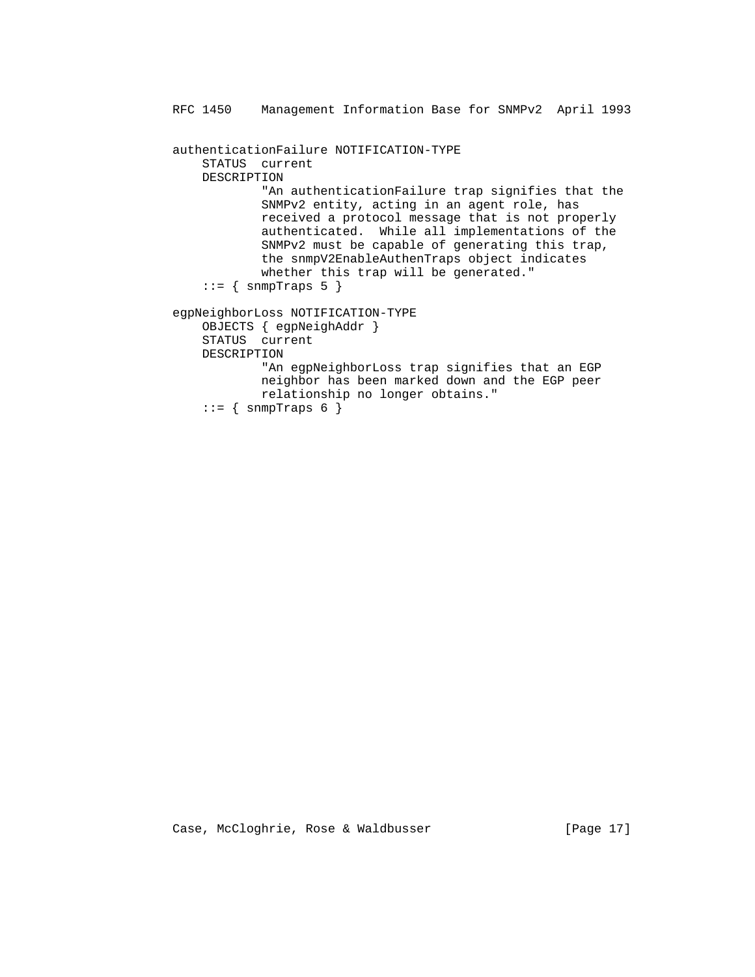RFC 1450 Management Information Base for SNMPv2 April 1993 authenticationFailure NOTIFICATION-TYPE STATUS current DESCRIPTION "An authenticationFailure trap signifies that the SNMPv2 entity, acting in an agent role, has received a protocol message that is not properly authenticated. While all implementations of the SNMPv2 must be capable of generating this trap, the snmpV2EnableAuthenTraps object indicates whether this trap will be generated."  $::=$  { snmpTraps 5 } egpNeighborLoss NOTIFICATION-TYPE OBJECTS { egpNeighAddr } STATUS current DESCRIPTION "An egpNeighborLoss trap signifies that an EGP neighbor has been marked down and the EGP peer relationship no longer obtains."  $::=$  { snmpTraps 6 }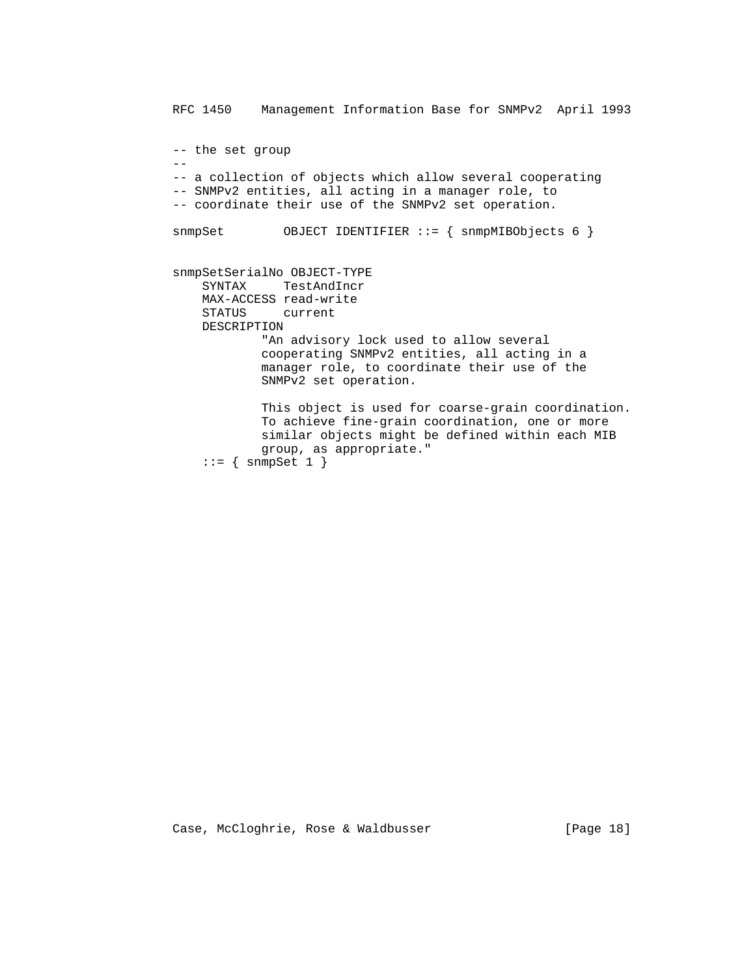RFC 1450 Management Information Base for SNMPv2 April 1993 -- the set group -- -- a collection of objects which allow several cooperating -- SNMPv2 entities, all acting in a manager role, to -- coordinate their use of the SNMPv2 set operation. snmpSet OBJECT IDENTIFIER ::= { snmpMIBObjects 6 } snmpSetSerialNo OBJECT-TYPE SYNTAX TestAndIncr MAX-ACCESS read-write current DESCRIPTION "An advisory lock used to allow several cooperating SNMPv2 entities, all acting in a manager role, to coordinate their use of the SNMPv2 set operation. This object is used for coarse-grain coordination. To achieve fine-grain coordination, one or more similar objects might be defined within each MIB group, as appropriate."

```
::= { snmpSet 1 }
```
Case, McCloghrie, Rose & Waldbusser (Page 18)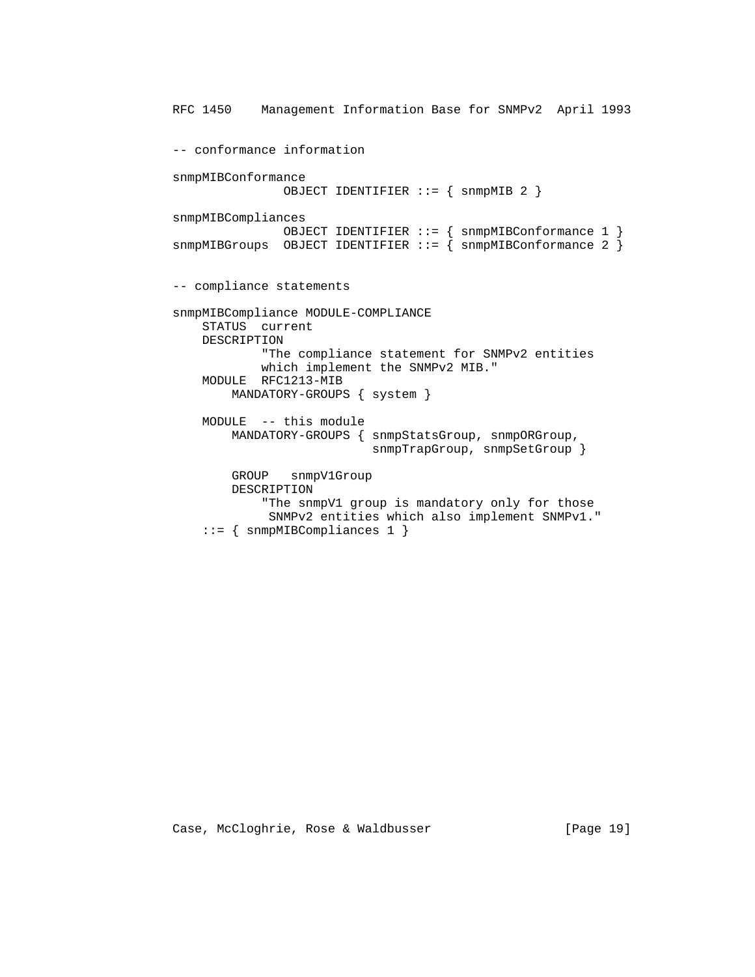RFC 1450 Management Information Base for SNMPv2 April 1993 -- conformance information snmpMIBConformance OBJECT IDENTIFIER ::= { snmpMIB 2 } snmpMIBCompliances OBJECT IDENTIFIER ::= { snmpMIBConformance 1 }  $s$ nmpMIBGroups OBJECT IDENTIFIER ::= {  $s$ nmpMIBConformance 2 } -- compliance statements snmpMIBCompliance MODULE-COMPLIANCE STATUS current DESCRIPTION "The compliance statement for SNMPv2 entities which implement the SNMPv2 MIB." MODULE RFC1213-MIB MANDATORY-GROUPS { system } MODULE -- this module MANDATORY-GROUPS { snmpStatsGroup, snmpORGroup, snmpTrapGroup, snmpSetGroup } GROUP snmpV1Group DESCRIPTION "The snmpV1 group is mandatory only for those SNMPv2 entities which also implement SNMPv1." ::= { snmpMIBCompliances 1 }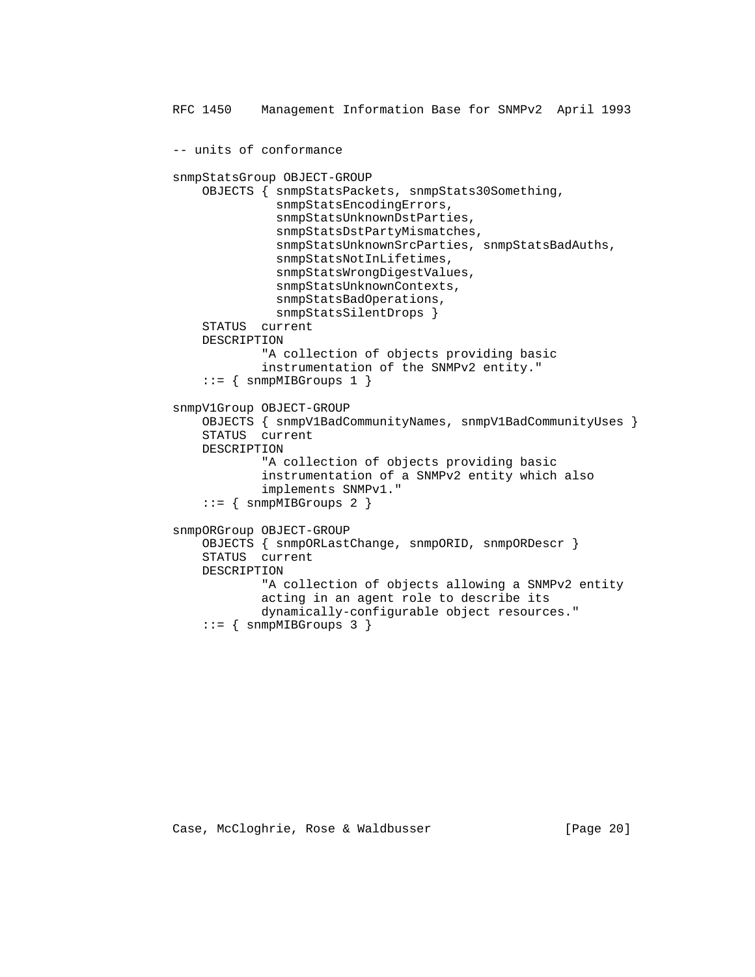```
 RFC 1450 Management Information Base for SNMPv2 April 1993
-- units of conformance
snmpStatsGroup OBJECT-GROUP
    OBJECTS { snmpStatsPackets, snmpStats30Something,
              snmpStatsEncodingErrors,
              snmpStatsUnknownDstParties,
              snmpStatsDstPartyMismatches,
              snmpStatsUnknownSrcParties, snmpStatsBadAuths,
              snmpStatsNotInLifetimes,
              snmpStatsWrongDigestValues,
              snmpStatsUnknownContexts,
              snmpStatsBadOperations,
              snmpStatsSilentDrops }
    STATUS current
    DESCRIPTION
            "A collection of objects providing basic
            instrumentation of the SNMPv2 entity."
   ::= { snmpMIBGroups 1 }
snmpV1Group OBJECT-GROUP
    OBJECTS { snmpV1BadCommunityNames, snmpV1BadCommunityUses }
    STATUS current
    DESCRIPTION
            "A collection of objects providing basic
            instrumentation of a SNMPv2 entity which also
            implements SNMPv1."
    ::= { snmpMIBGroups 2 }
snmpORGroup OBJECT-GROUP
    OBJECTS { snmpORLastChange, snmpORID, snmpORDescr }
    STATUS current
    DESCRIPTION
            "A collection of objects allowing a SNMPv2 entity
            acting in an agent role to describe its
            dynamically-configurable object resources."
```

```
::= { snmpMIBGroups 3 }
```
Case, McCloghrie, Rose & Waldbusser (Page 20)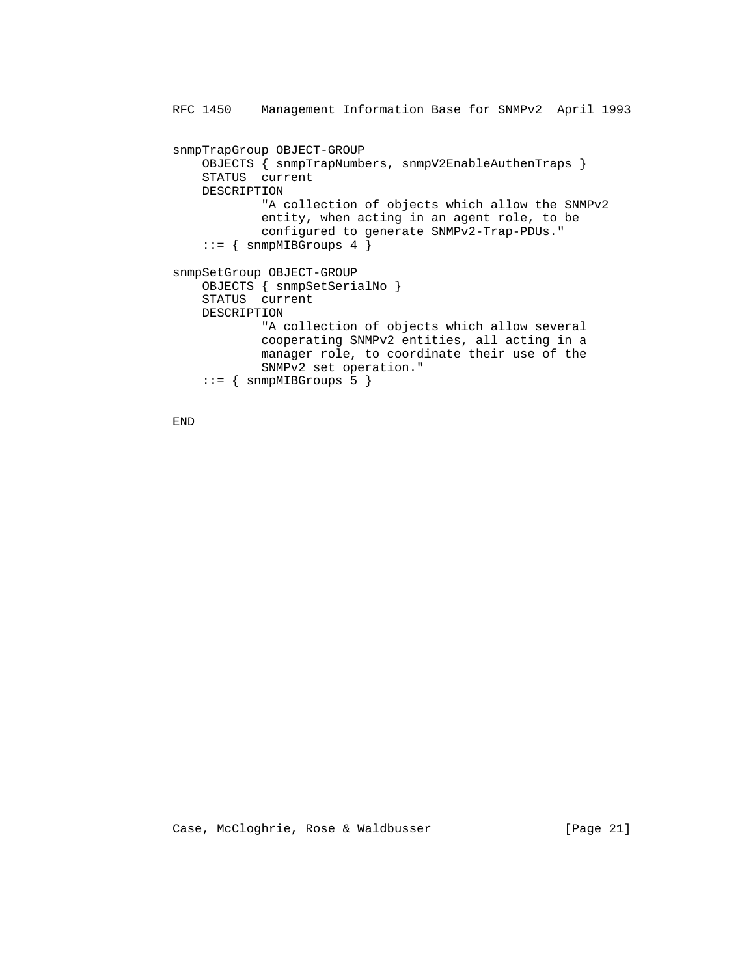```
 RFC 1450 Management Information Base for SNMPv2 April 1993
snmpTrapGroup OBJECT-GROUP
    OBJECTS { snmpTrapNumbers, snmpV2EnableAuthenTraps }
    STATUS current
    DESCRIPTION
            "A collection of objects which allow the SNMPv2
            entity, when acting in an agent role, to be
            configured to generate SNMPv2-Trap-PDUs."
   ::= { snmpMIBGroups 4 }
snmpSetGroup OBJECT-GROUP
    OBJECTS { snmpSetSerialNo }
    STATUS current
   DESCRIPTION
            "A collection of objects which allow several
            cooperating SNMPv2 entities, all acting in a
            manager role, to coordinate their use of the
            SNMPv2 set operation."
   ::= { snmpMIBGroups 5 }
```
END

Case, McCloghrie, Rose & Waldbusser [Page 21]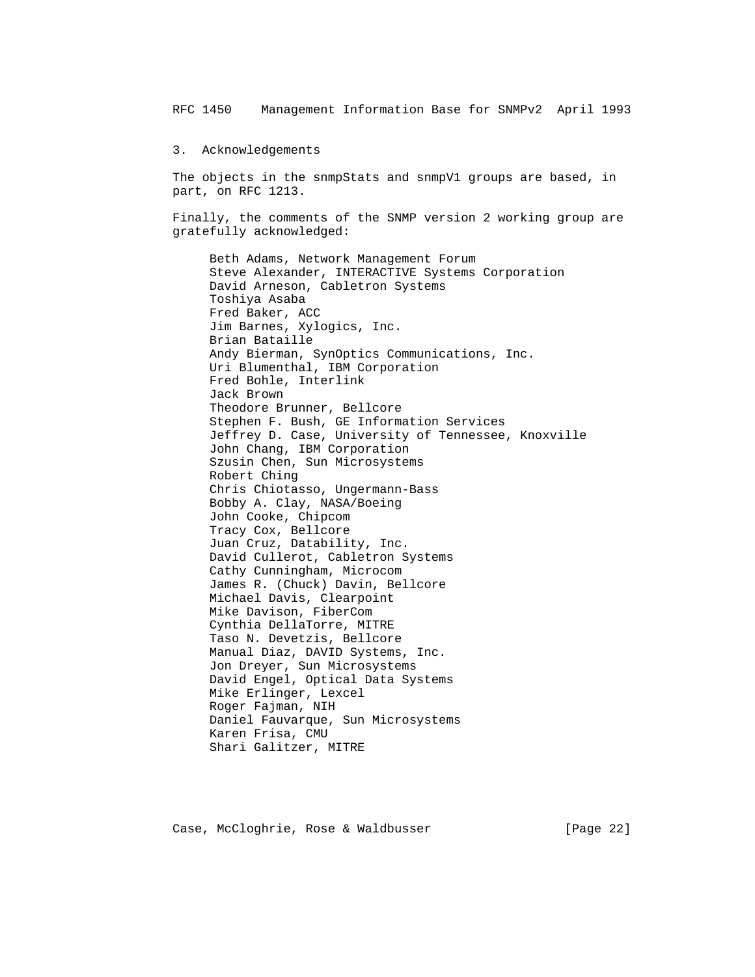3. Acknowledgements

 The objects in the snmpStats and snmpV1 groups are based, in part, on RFC 1213.

 Finally, the comments of the SNMP version 2 working group are gratefully acknowledged:

 Beth Adams, Network Management Forum Steve Alexander, INTERACTIVE Systems Corporation David Arneson, Cabletron Systems Toshiya Asaba Fred Baker, ACC Jim Barnes, Xylogics, Inc. Brian Bataille Andy Bierman, SynOptics Communications, Inc. Uri Blumenthal, IBM Corporation Fred Bohle, Interlink Jack Brown Theodore Brunner, Bellcore Stephen F. Bush, GE Information Services Jeffrey D. Case, University of Tennessee, Knoxville John Chang, IBM Corporation Szusin Chen, Sun Microsystems Robert Ching Chris Chiotasso, Ungermann-Bass Bobby A. Clay, NASA/Boeing John Cooke, Chipcom Tracy Cox, Bellcore Juan Cruz, Datability, Inc. David Cullerot, Cabletron Systems Cathy Cunningham, Microcom James R. (Chuck) Davin, Bellcore Michael Davis, Clearpoint Mike Davison, FiberCom Cynthia DellaTorre, MITRE Taso N. Devetzis, Bellcore Manual Diaz, DAVID Systems, Inc. Jon Dreyer, Sun Microsystems David Engel, Optical Data Systems Mike Erlinger, Lexcel Roger Fajman, NIH Daniel Fauvarque, Sun Microsystems Karen Frisa, CMU Shari Galitzer, MITRE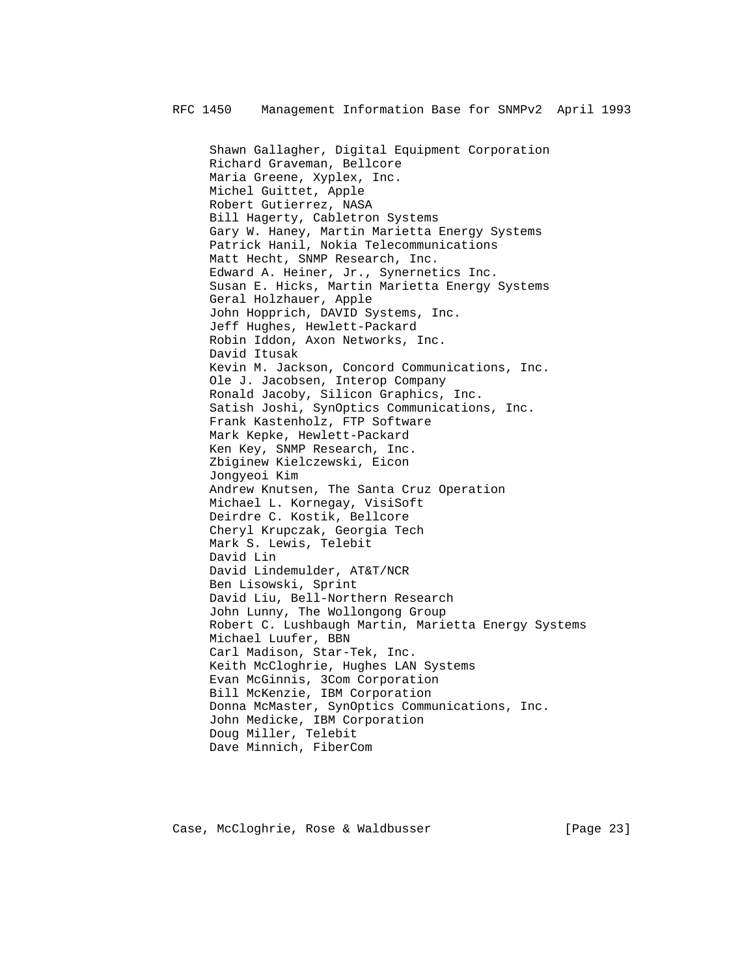Shawn Gallagher, Digital Equipment Corporation Richard Graveman, Bellcore Maria Greene, Xyplex, Inc. Michel Guittet, Apple Robert Gutierrez, NASA Bill Hagerty, Cabletron Systems Gary W. Haney, Martin Marietta Energy Systems Patrick Hanil, Nokia Telecommunications Matt Hecht, SNMP Research, Inc. Edward A. Heiner, Jr., Synernetics Inc. Susan E. Hicks, Martin Marietta Energy Systems Geral Holzhauer, Apple John Hopprich, DAVID Systems, Inc. Jeff Hughes, Hewlett-Packard Robin Iddon, Axon Networks, Inc. David Itusak Kevin M. Jackson, Concord Communications, Inc. Ole J. Jacobsen, Interop Company Ronald Jacoby, Silicon Graphics, Inc. Satish Joshi, SynOptics Communications, Inc. Frank Kastenholz, FTP Software Mark Kepke, Hewlett-Packard Ken Key, SNMP Research, Inc. Zbiginew Kielczewski, Eicon Jongyeoi Kim Andrew Knutsen, The Santa Cruz Operation Michael L. Kornegay, VisiSoft Deirdre C. Kostik, Bellcore Cheryl Krupczak, Georgia Tech Mark S. Lewis, Telebit David Lin David Lindemulder, AT&T/NCR Ben Lisowski, Sprint David Liu, Bell-Northern Research John Lunny, The Wollongong Group Robert C. Lushbaugh Martin, Marietta Energy Systems Michael Luufer, BBN Carl Madison, Star-Tek, Inc. Keith McCloghrie, Hughes LAN Systems Evan McGinnis, 3Com Corporation Bill McKenzie, IBM Corporation Donna McMaster, SynOptics Communications, Inc. John Medicke, IBM Corporation Doug Miller, Telebit Dave Minnich, FiberCom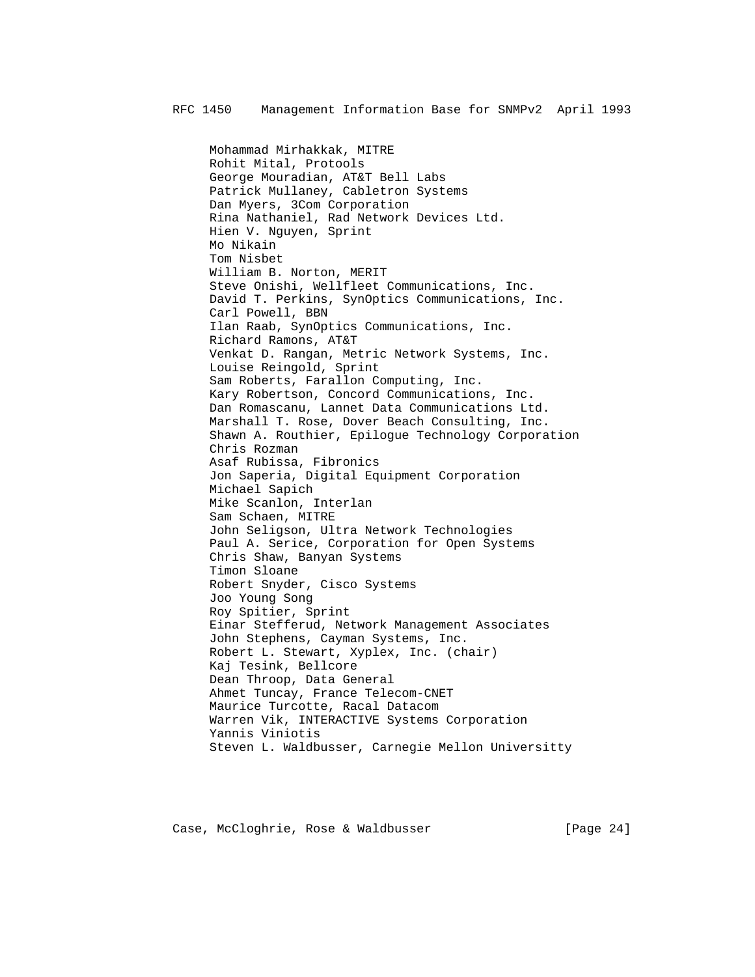Mohammad Mirhakkak, MITRE Rohit Mital, Protools George Mouradian, AT&T Bell Labs Patrick Mullaney, Cabletron Systems Dan Myers, 3Com Corporation Rina Nathaniel, Rad Network Devices Ltd. Hien V. Nguyen, Sprint Mo Nikain Tom Nisbet William B. Norton, MERIT Steve Onishi, Wellfleet Communications, Inc. David T. Perkins, SynOptics Communications, Inc. Carl Powell, BBN Ilan Raab, SynOptics Communications, Inc. Richard Ramons, AT&T Venkat D. Rangan, Metric Network Systems, Inc. Louise Reingold, Sprint Sam Roberts, Farallon Computing, Inc. Kary Robertson, Concord Communications, Inc. Dan Romascanu, Lannet Data Communications Ltd. Marshall T. Rose, Dover Beach Consulting, Inc. Shawn A. Routhier, Epilogue Technology Corporation Chris Rozman Asaf Rubissa, Fibronics Jon Saperia, Digital Equipment Corporation Michael Sapich Mike Scanlon, Interlan Sam Schaen, MITRE John Seligson, Ultra Network Technologies Paul A. Serice, Corporation for Open Systems Chris Shaw, Banyan Systems Timon Sloane Robert Snyder, Cisco Systems Joo Young Song Roy Spitier, Sprint Einar Stefferud, Network Management Associates John Stephens, Cayman Systems, Inc. Robert L. Stewart, Xyplex, Inc. (chair) Kaj Tesink, Bellcore Dean Throop, Data General Ahmet Tuncay, France Telecom-CNET Maurice Turcotte, Racal Datacom Warren Vik, INTERACTIVE Systems Corporation Yannis Viniotis Steven L. Waldbusser, Carnegie Mellon Universitty

Case, McCloghrie, Rose & Waldbusser [Page 24]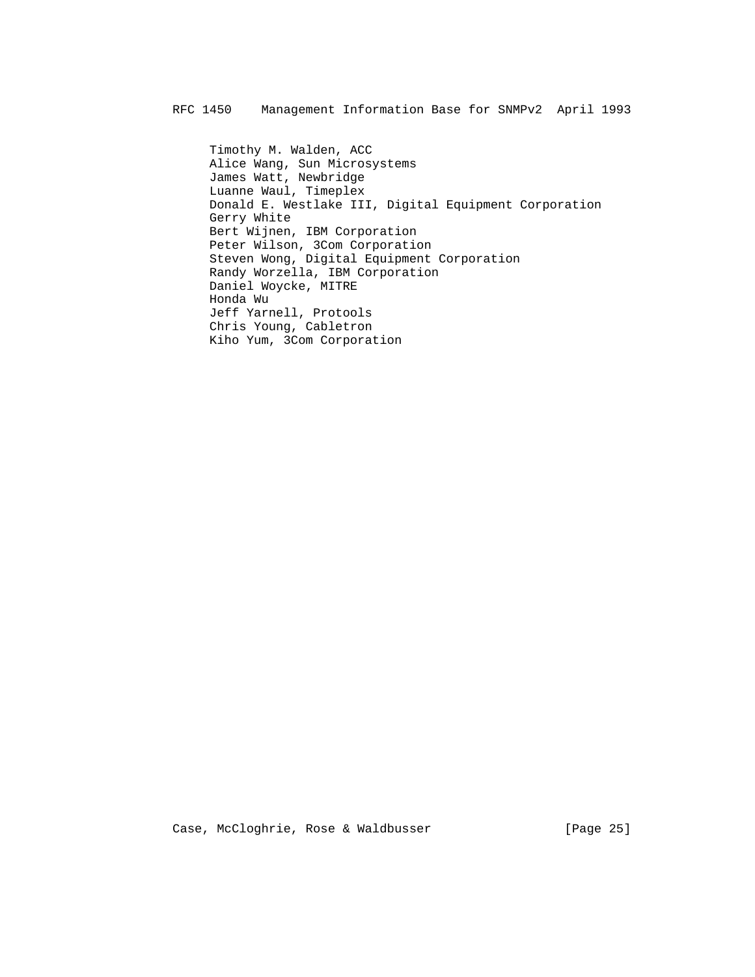Timothy M. Walden, ACC Alice Wang, Sun Microsystems James Watt, Newbridge Luanne Waul, Timeplex Donald E. Westlake III, Digital Equipment Corporation Gerry White Bert Wijnen, IBM Corporation Peter Wilson, 3Com Corporation Steven Wong, Digital Equipment Corporation Randy Worzella, IBM Corporation Daniel Woycke, MITRE Honda Wu Jeff Yarnell, Protools Chris Young, Cabletron Kiho Yum, 3Com Corporation

Case, McCloghrie, Rose & Waldbusser [Page 25]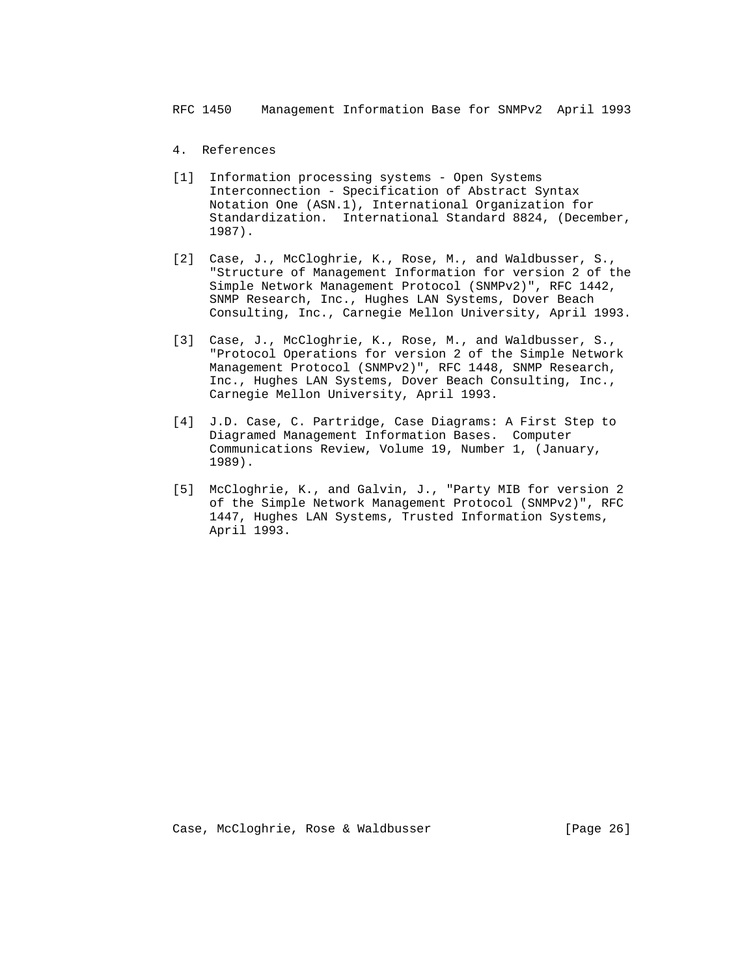- 4. References
- [1] Information processing systems Open Systems Interconnection - Specification of Abstract Syntax Notation One (ASN.1), International Organization for Standardization. International Standard 8824, (December, 1987).
- [2] Case, J., McCloghrie, K., Rose, M., and Waldbusser, S., "Structure of Management Information for version 2 of the Simple Network Management Protocol (SNMPv2)", RFC 1442, SNMP Research, Inc., Hughes LAN Systems, Dover Beach Consulting, Inc., Carnegie Mellon University, April 1993.
- [3] Case, J., McCloghrie, K., Rose, M., and Waldbusser, S., "Protocol Operations for version 2 of the Simple Network Management Protocol (SNMPv2)", RFC 1448, SNMP Research, Inc., Hughes LAN Systems, Dover Beach Consulting, Inc., Carnegie Mellon University, April 1993.
- [4] J.D. Case, C. Partridge, Case Diagrams: A First Step to Diagramed Management Information Bases. Computer Communications Review, Volume 19, Number 1, (January, 1989).
- [5] McCloghrie, K., and Galvin, J., "Party MIB for version 2 of the Simple Network Management Protocol (SNMPv2)", RFC 1447, Hughes LAN Systems, Trusted Information Systems, April 1993.